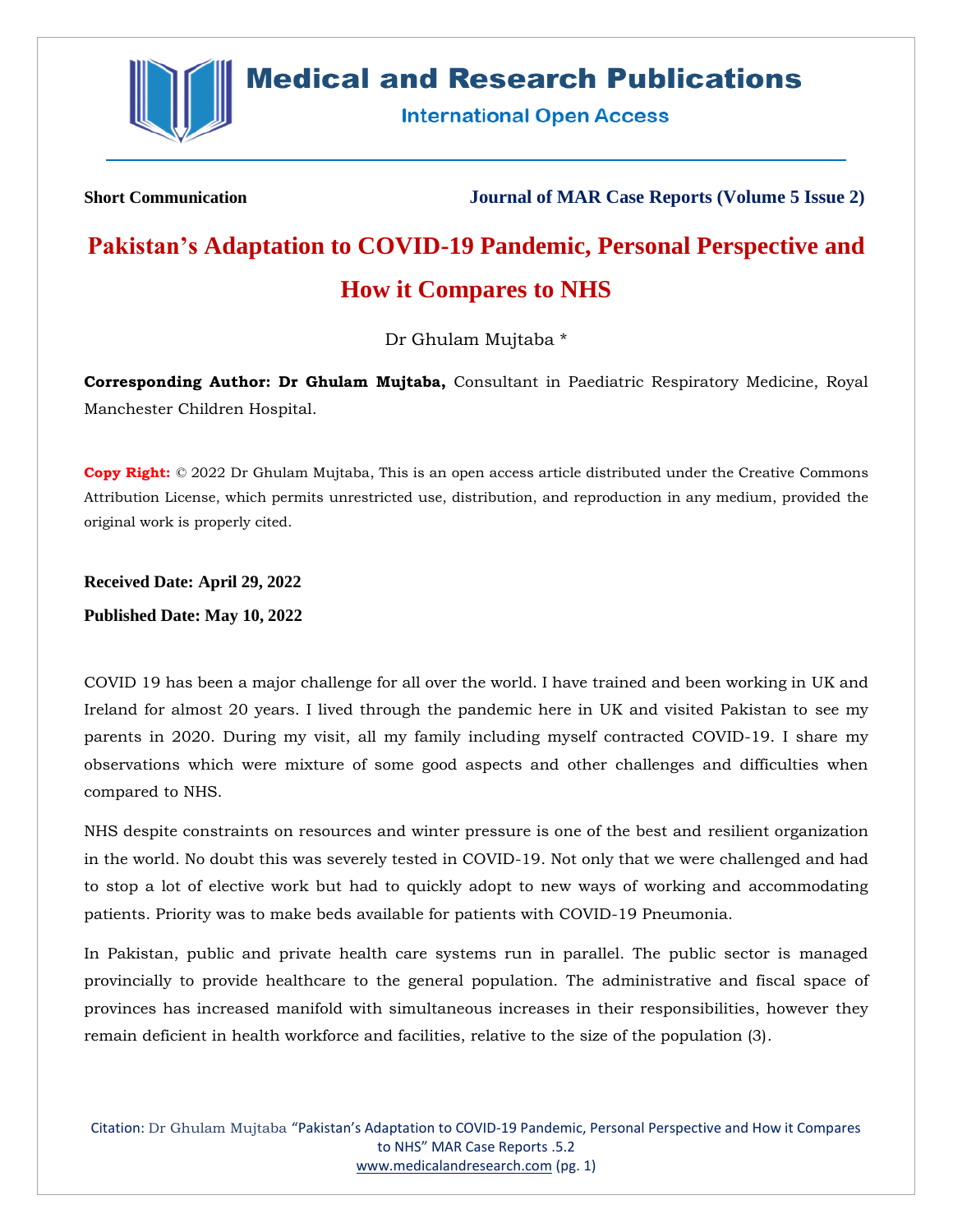

# **Medical and Research Publications**

**International Open Access** 

**Short Communication Journal of MAR Case Reports (Volume 5 Issue 2)**

# **Pakistan's Adaptation to COVID-19 Pandemic, Personal Perspective and How it Compares to NHS**

Dr Ghulam Mujtaba \*

**Corresponding Author: Dr Ghulam Mujtaba,** Consultant in Paediatric Respiratory Medicine, Royal Manchester Children Hospital.

**Copy Right:** © 2022 Dr Ghulam Mujtaba, This is an open access article distributed under the Creative Commons Attribution License, which permits unrestricted use, distribution, and reproduction in any medium, provided the original work is properly cited.

**Received Date: April 29, 2022**

**Published Date: May 10, 2022**

COVID 19 has been a major challenge for all over the world. I have trained and been working in UK and Ireland for almost 20 years. I lived through the pandemic here in UK and visited Pakistan to see my parents in 2020. During my visit, all my family including myself contracted COVID-19. I share my observations which were mixture of some good aspects and other challenges and difficulties when compared to NHS.

NHS despite constraints on resources and winter pressure is one of the best and resilient organization in the world. No doubt this was severely tested in COVID-19. Not only that we were challenged and had to stop a lot of elective work but had to quickly adopt to new ways of working and accommodating patients. Priority was to make beds available for patients with COVID-19 Pneumonia.

In Pakistan, public and private health care systems run in parallel. The public sector is managed provincially to provide healthcare to the general population. The administrative and fiscal space of provinces has increased manifold with simultaneous increases in their responsibilities, however they remain deficient in health workforce and facilities, relative to the size of the population (3).

Citation: Dr Ghulam Mujtaba "Pakistan's Adaptation to COVID-19 Pandemic, Personal Perspective and How it Compares to NHS" MAR Case Reports .5.2 [www.medicalandresearch.com](http://www.medicalandresearch.com/) (pg. 1)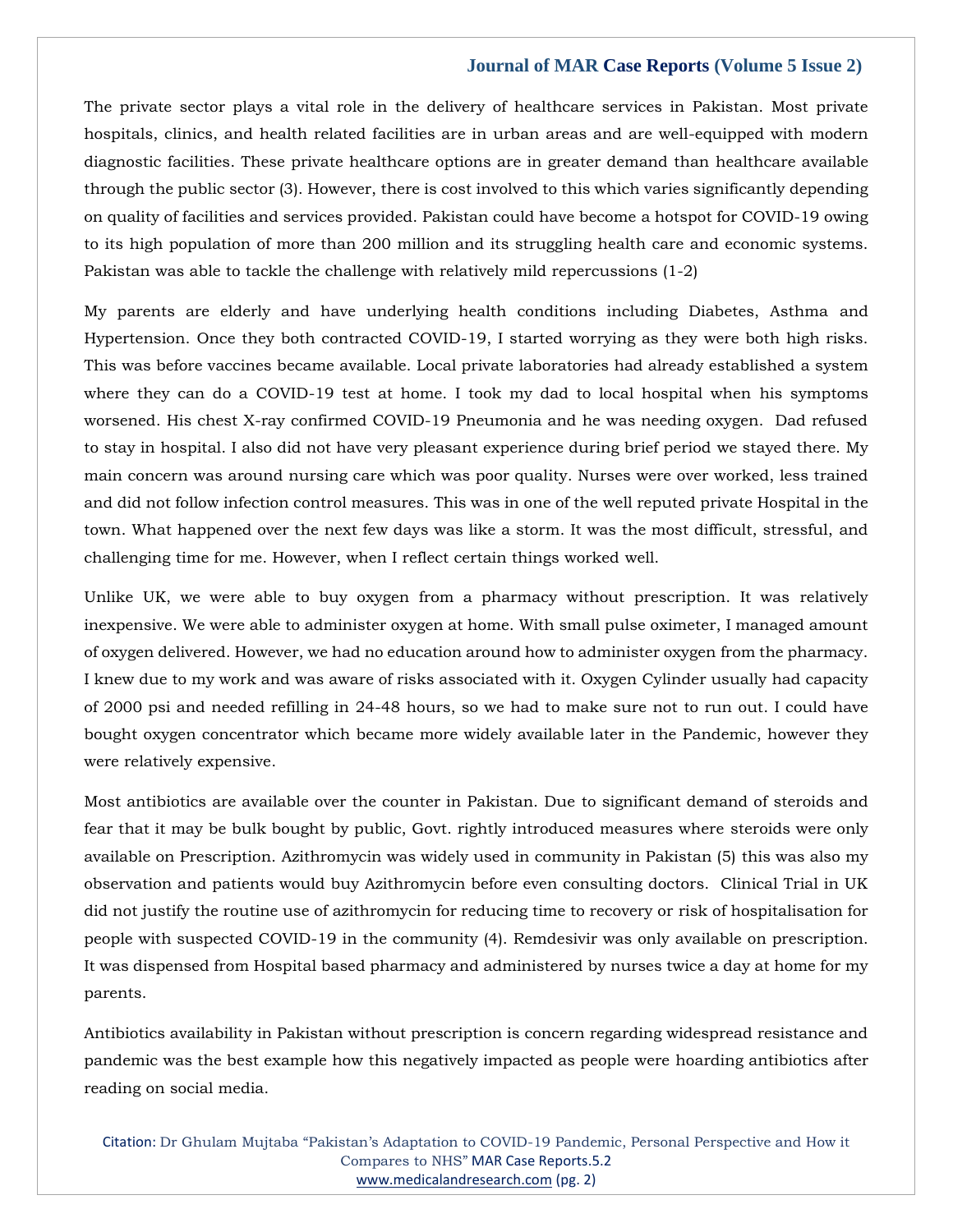#### **Journal of MAR Case Reports (Volume 5 Issue 2)**

The private sector plays a vital role in the delivery of healthcare services in Pakistan. Most private hospitals, clinics, and health related facilities are in urban areas and are well-equipped with modern diagnostic facilities. These private healthcare options are in greater demand than healthcare available through the public sector (3). However, there is cost involved to this which varies significantly depending on quality of facilities and services provided. Pakistan could have become a hotspot for COVID-19 owing to its high population of more than 200 million and its struggling health care and economic systems. Pakistan was able to tackle the challenge with relatively mild repercussions (1-2)

My parents are elderly and have underlying health conditions including Diabetes, Asthma and Hypertension. Once they both contracted COVID-19, I started worrying as they were both high risks. This was before vaccines became available. Local private laboratories had already established a system where they can do a COVID-19 test at home. I took my dad to local hospital when his symptoms worsened. His chest X-ray confirmed COVID-19 Pneumonia and he was needing oxygen. Dad refused to stay in hospital. I also did not have very pleasant experience during brief period we stayed there. My main concern was around nursing care which was poor quality. Nurses were over worked, less trained and did not follow infection control measures. This was in one of the well reputed private Hospital in the town. What happened over the next few days was like a storm. It was the most difficult, stressful, and challenging time for me. However, when I reflect certain things worked well.

Unlike UK, we were able to buy oxygen from a pharmacy without prescription. It was relatively inexpensive. We were able to administer oxygen at home. With small pulse oximeter, I managed amount of oxygen delivered. However, we had no education around how to administer oxygen from the pharmacy. I knew due to my work and was aware of risks associated with it. Oxygen Cylinder usually had capacity of 2000 psi and needed refilling in 24-48 hours, so we had to make sure not to run out. I could have bought oxygen concentrator which became more widely available later in the Pandemic, however they were relatively expensive.

Most antibiotics are available over the counter in Pakistan. Due to significant demand of steroids and fear that it may be bulk bought by public, Govt. rightly introduced measures where steroids were only available on Prescription. Azithromycin was widely used in community in Pakistan (5) this was also my observation and patients would buy Azithromycin before even consulting doctors. Clinical Trial in UK did not justify the routine use of azithromycin for reducing time to recovery or risk of hospitalisation for people with suspected COVID-19 in the community (4). Remdesivir was only available on prescription. It was dispensed from Hospital based pharmacy and administered by nurses twice a day at home for my parents.

Antibiotics availability in Pakistan without prescription is concern regarding widespread resistance and pandemic was the best example how this negatively impacted as people were hoarding antibiotics after reading on social media.

Citation: Dr Ghulam Mujtaba "Pakistan's Adaptation to COVID-19 Pandemic, Personal Perspective and How it Compares to NHS" MAR Case Reports.5.2 [www.medicalandresearch.com](http://www.medicalandresearch.com/) (pg. 2)